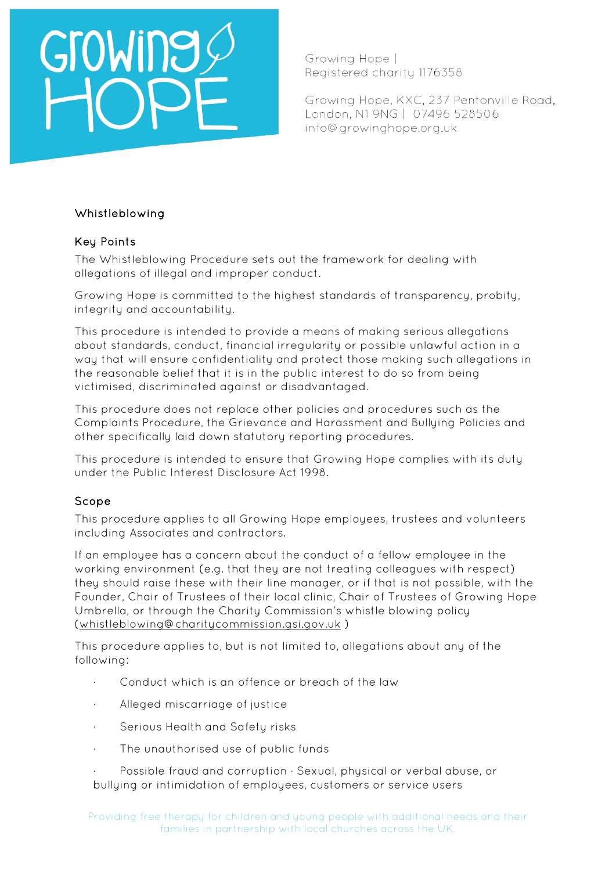# GTOWING

Growing Hope I Registered charity 1176358

Growing Hope, KXC, 237 Pentonville Road, London, N1 9NG | 07496 528506 info@growinghope.org.uk

### Whistleblowing

### Key Points

The Whistleblowing Procedure sets out the framework for dealing with allegations of illegal and improper conduct.

Growing Hope is committed to the highest standards of transparency, probity, integrity and accountability.

This procedure is intended to provide a means of making serious allegations about standards, conduct, financial irregularity or possible unlawful action in a way that will ensure confidentiality and protect those making such allegations in the reasonable belief that it is in the public interest to do so from being victimised, discriminated against or disadvantaged.

This procedure does not replace other policies and procedures such as the Complaints Procedure, the Grievance and Harassment and Bullying Policies and other specifically laid down statutory reporting procedures.

This procedure is intended to ensure that Growing Hope complies with its duty under the Public Interest Disclosure Act 1998.

### Scope

This procedure applies to all Growing Hope employees, trustees and volunteers including Associates and contractors.

If an employee has a concern about the conduct of a fellow employee in the working environment (e.g. that they are not treating colleagues with respect) they should raise these with their line manager, or if that is not possible, with the Founder, Chair of Trustees of their local clinic, Chair of Trustees of Growing Hope Umbrella, or through the Charity Commission's whistle blowing policy [\(whistleblowing@charitycommission.gsi.gov.uk](mailto:whistleblowing@charitycommission.gsi.gov.uk) )

This procedure applies to, but is not limited to, allegations about any of the following:

- Conduct which is an offence or breach of the law
- Alleged miscarriage of justice
- · Serious Health and Safety risks
- · The unauthorised use of public funds
- Possible fraud and corruption · Sexual, physical or verbal abuse, or bullying or intimidation of employees, customers or service users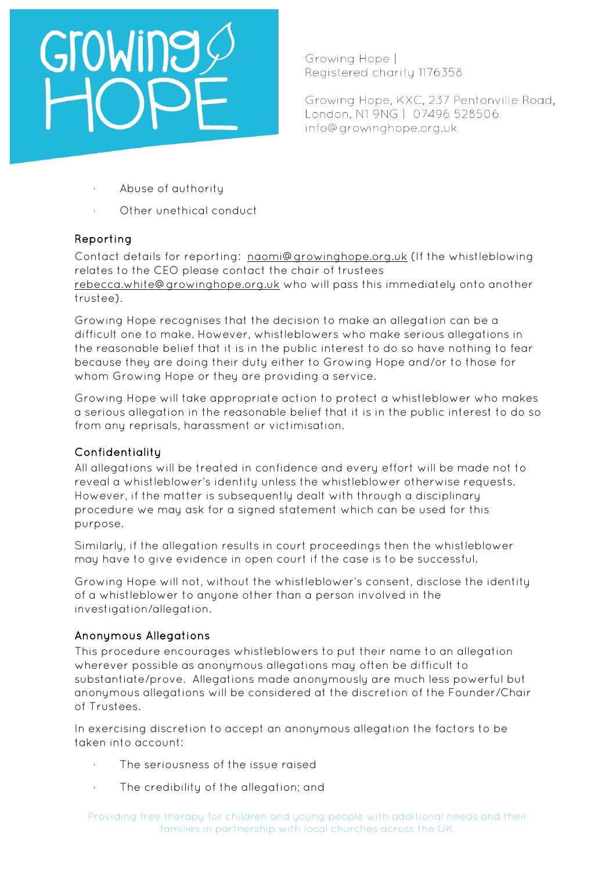# GroWine

Growing Hope I Registered charity 1176358

Growing Hope, KXC, 237 Pentonville Road, London, N1 9NG | 07496 528506 info@growinghope.org.uk

- Abuse of authority
- Other unethical conduct

### Reporting

Contact details for reporting: [naomi@growinghope.org.uk](mailto:naomi@growinghope.org.uk) (If the whistleblowing relates to the CEO please contact the chair of trustees [rebecca.white@growinghope.org.uk](mailto:rebecca.white@growinghope.org.uk) who will pass this immediately onto another trustee).

Growing Hope recognises that the decision to make an allegation can be a difficult one to make. However, whistleblowers who make serious allegations in the reasonable belief that it is in the public interest to do so have nothing to fear because they are doing their duty either to Growing Hope and/or to those for whom Growing Hope or they are providing a service.

Growing Hope will take appropriate action to protect a whistleblower who makes a serious allegation in the reasonable belief that it is in the public interest to do so from any reprisals, harassment or victimisation.

### Confidentiality

All allegations will be treated in confidence and every effort will be made not to reveal a whistleblower's identity unless the whistleblower otherwise requests. However, if the matter is subsequently dealt with through a disciplinary procedure we may ask for a signed statement which can be used for this purpose.

Similarly, if the allegation results in court proceedings then the whistleblower may have to give evidence in open court if the case is to be successful.

Growing Hope will not, without the whistleblower's consent, disclose the identity of a whistleblower to anyone other than a person involved in the investigation/allegation.

### Anonymous Allegations

This procedure encourages whistleblowers to put their name to an allegation wherever possible as anonymous allegations may often be difficult to substantiate/prove. Allegations made anonymously are much less powerful but anonymous allegations will be considered at the discretion of the Founder/Chair of Trustees.

In exercising discretion to accept an anonymous allegation the factors to be taken into account:

- The seriousness of the issue raised
- The credibility of the allegation; and

Providing free therapy for children and young people with additional needs and their families in partnership with local churches across the UK.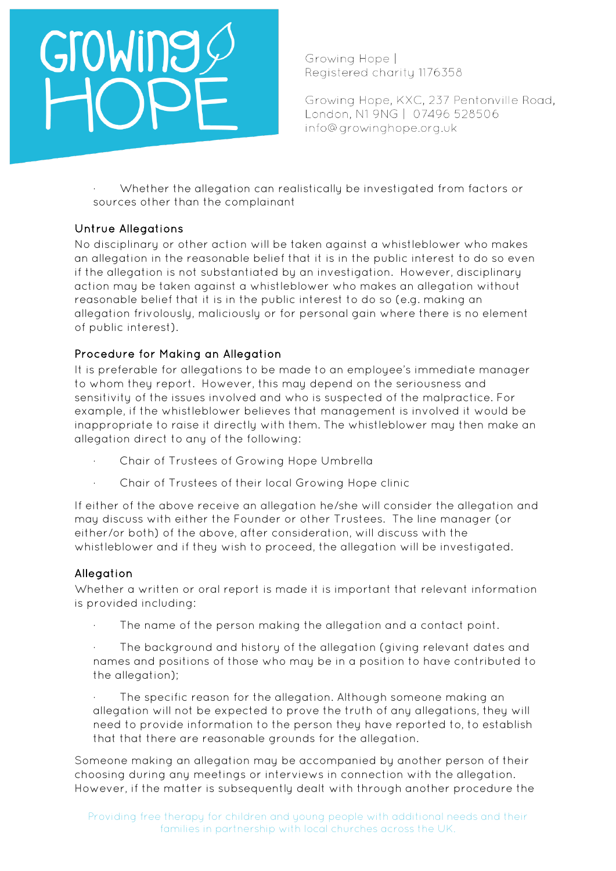# GroWing

Growing Hope I Registered charity 1176358

Growing Hope, KXC, 237 Pentonville Road, London, N1 9NG | 07496 528506 info@growinghope.org.uk

· Whether the allegation can realistically be investigated from factors or sources other than the complainant

## Untrue Allegations

No disciplinary or other action will be taken against a whistleblower who makes an allegation in the reasonable belief that it is in the public interest to do so even if the allegation is not substantiated by an investigation. However, disciplinary action may be taken against a whistleblower who makes an allegation without reasonable belief that it is in the public interest to do so (e.g. making an allegation frivolously, maliciously or for personal gain where there is no element of public interest).

### Procedure for Making an Allegation

It is preferable for allegations to be made to an employee's immediate manager to whom they report. However, this may depend on the seriousness and sensitivity of the issues involved and who is suspected of the malpractice. For example, if the whistleblower believes that management is involved it would be inappropriate to raise it directly with them. The whistleblower may then make an allegation direct to any of the following:

- · Chair of Trustees of Growing Hope Umbrella
- Chair of Trustees of their local Growing Hope clinic

If either of the above receive an allegation he/she will consider the allegation and may discuss with either the Founder or other Trustees. The line manager (or either/or both) of the above, after consideration, will discuss with the whistleblower and if they wish to proceed, the allegation will be investigated.

### **Allegation**

Whether a written or oral report is made it is important that relevant information is provided including:

The name of the person making the allegation and a contact point.

The background and history of the allegation (giving relevant dates and names and positions of those who may be in a position to have contributed to the allegation);

The specific reason for the allegation. Although someone making an allegation will not be expected to prove the truth of any allegations, they will need to provide information to the person they have reported to, to establish that that there are reasonable grounds for the allegation.

Someone making an allegation may be accompanied by another person of their choosing during any meetings or interviews in connection with the allegation. However, if the matter is subsequently dealt with through another procedure the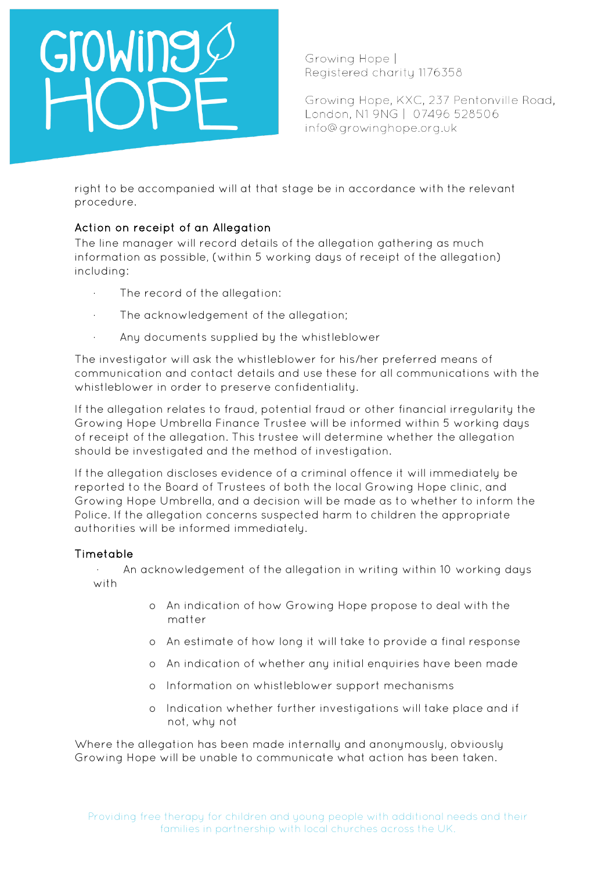# GroWine

Growing Hope I Registered charity 1176358

Growing Hope, KXC, 237 Pentonville Road, London, N1 9NG | 07496 528506 info@growinghope.org.uk

right to be accompanied will at that stage be in accordance with the relevant procedure.

## Action on receipt of an Allegation

The line manager will record details of the allegation gathering as much information as possible, (within 5 working days of receipt of the allegation) including:

- · The record of the allegation:
- The acknowledgement of the allegation;
- · Any documents supplied by the whistleblower

The investigator will ask the whistleblower for his/her preferred means of communication and contact details and use these for all communications with the whistleblower in order to preserve confidentiality.

If the allegation relates to fraud, potential fraud or other financial irregularity the Growing Hope Umbrella Finance Trustee will be informed within 5 working days of receipt of the allegation. This trustee will determine whether the allegation should be investigated and the method of investigation.

If the allegation discloses evidence of a criminal offence it will immediately be reported to the Board of Trustees of both the local Growing Hope clinic, and Growing Hope Umbrella, and a decision will be made as to whether to inform the Police. If the allegation concerns suspected harm to children the appropriate authorities will be informed immediately.

### Timetable

· An acknowledgement of the allegation in writing within 10 working days with

- o An indication of how Growing Hope propose to deal with the matter
- o An estimate of how long it will take to provide a final response
- o An indication of whether any initial enquiries have been made
- o Information on whistleblower support mechanisms
- o Indication whether further investigations will take place and if not, why not

Where the allegation has been made internally and anonymously, obviously Growing Hope will be unable to communicate what action has been taken.